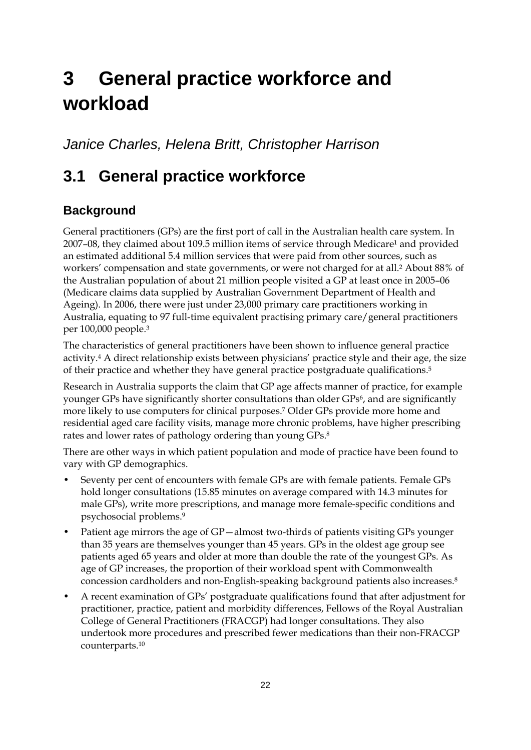# **3 General practice workforce and workload**

*Janice Charles, Helena Britt, Christopher Harrison* 

## **3.1 General practice workforce**

### **Background**

General practitioners (GPs) are the first port of call in the Australian health care system. In 2007–08, they claimed about 109.5 million items of service through Medicare1 and provided an estimated additional 5.4 million services that were paid from other sources, such as workers' compensation and state governments, or were not charged for at all.2 About 88% of the Australian population of about 21 million people visited a GP at least once in 2005–06 (Medicare claims data supplied by Australian Government Department of Health and Ageing). In 2006, there were just under 23,000 primary care practitioners working in Australia, equating to 97 full-time equivalent practising primary care/general practitioners per 100,000 people.3

The characteristics of general practitioners have been shown to influence general practice activity.4 A direct relationship exists between physicians' practice style and their age, the size of their practice and whether they have general practice postgraduate qualifications.5

Research in Australia supports the claim that GP age affects manner of practice, for example younger GPs have significantly shorter consultations than older GPs<sup>6</sup>, and are significantly more likely to use computers for clinical purposes.7 Older GPs provide more home and residential aged care facility visits, manage more chronic problems, have higher prescribing rates and lower rates of pathology ordering than young GPs.8

There are other ways in which patient population and mode of practice have been found to vary with GP demographics.

- Seventy per cent of encounters with female GPs are with female patients. Female GPs hold longer consultations (15.85 minutes on average compared with 14.3 minutes for male GPs), write more prescriptions, and manage more female-specific conditions and psychosocial problems.9
- Patient age mirrors the age of GP—almost two-thirds of patients visiting GPs younger than 35 years are themselves younger than 45 years. GPs in the oldest age group see patients aged 65 years and older at more than double the rate of the youngest GPs. As age of GP increases, the proportion of their workload spent with Commonwealth concession cardholders and non-English-speaking background patients also increases.8
- A recent examination of GPs' postgraduate qualifications found that after adjustment for practitioner, practice, patient and morbidity differences, Fellows of the Royal Australian College of General Practitioners (FRACGP) had longer consultations. They also undertook more procedures and prescribed fewer medications than their non-FRACGP counterparts.10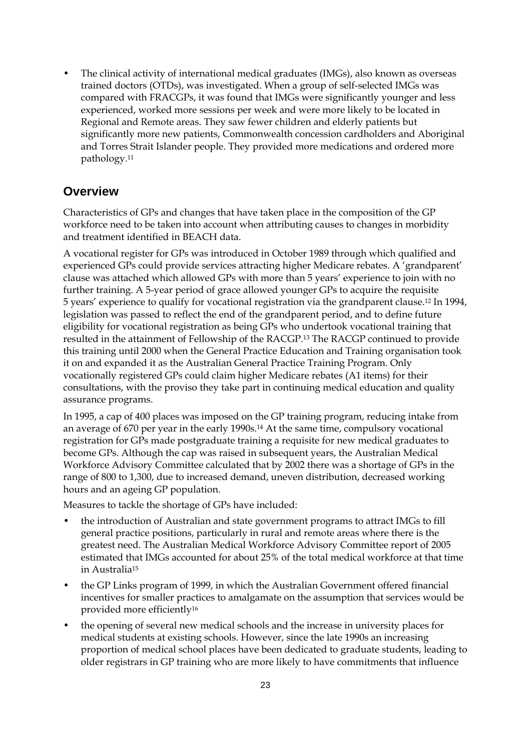• The clinical activity of international medical graduates (IMGs), also known as overseas trained doctors (OTDs), was investigated. When a group of self-selected IMGs was compared with FRACGPs, it was found that IMGs were significantly younger and less experienced, worked more sessions per week and were more likely to be located in Regional and Remote areas. They saw fewer children and elderly patients but significantly more new patients, Commonwealth concession cardholders and Aboriginal and Torres Strait Islander people. They provided more medications and ordered more pathology.11

#### **Overview**

Characteristics of GPs and changes that have taken place in the composition of the GP workforce need to be taken into account when attributing causes to changes in morbidity and treatment identified in BEACH data.

A vocational register for GPs was introduced in October 1989 through which qualified and experienced GPs could provide services attracting higher Medicare rebates. A 'grandparent' clause was attached which allowed GPs with more than 5 years' experience to join with no further training. A 5-year period of grace allowed younger GPs to acquire the requisite 5 years' experience to qualify for vocational registration via the grandparent clause.12 In 1994, legislation was passed to reflect the end of the grandparent period, and to define future eligibility for vocational registration as being GPs who undertook vocational training that resulted in the attainment of Fellowship of the RACGP.13 The RACGP continued to provide this training until 2000 when the General Practice Education and Training organisation took it on and expanded it as the Australian General Practice Training Program. Only vocationally registered GPs could claim higher Medicare rebates (A1 items) for their consultations, with the proviso they take part in continuing medical education and quality assurance programs.

In 1995, a cap of 400 places was imposed on the GP training program, reducing intake from an average of 670 per year in the early 1990s.14 At the same time, compulsory vocational registration for GPs made postgraduate training a requisite for new medical graduates to become GPs. Although the cap was raised in subsequent years, the Australian Medical Workforce Advisory Committee calculated that by 2002 there was a shortage of GPs in the range of 800 to 1,300, due to increased demand, uneven distribution, decreased working hours and an ageing GP population.

Measures to tackle the shortage of GPs have included:

- the introduction of Australian and state government programs to attract IMGs to fill general practice positions, particularly in rural and remote areas where there is the greatest need. The Australian Medical Workforce Advisory Committee report of 2005 estimated that IMGs accounted for about 25% of the total medical workforce at that time in Australia15
- the GP Links program of 1999, in which the Australian Government offered financial incentives for smaller practices to amalgamate on the assumption that services would be provided more efficiently16
- the opening of several new medical schools and the increase in university places for medical students at existing schools. However, since the late 1990s an increasing proportion of medical school places have been dedicated to graduate students, leading to older registrars in GP training who are more likely to have commitments that influence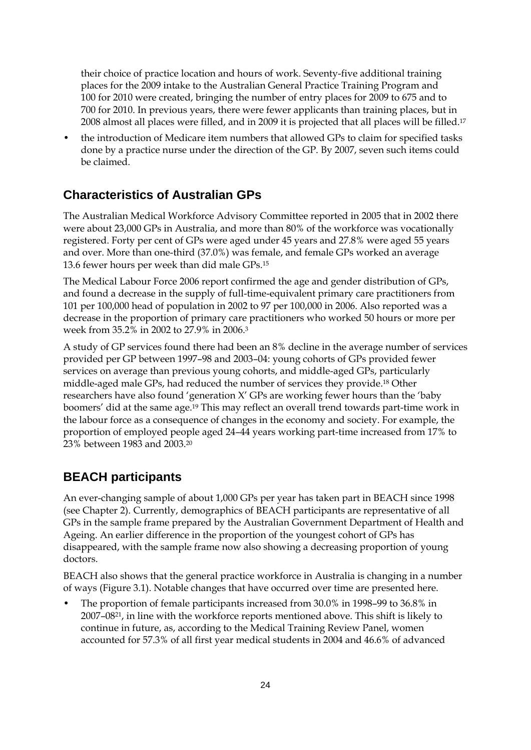their choice of practice location and hours of work. Seventy-five additional training places for the 2009 intake to the Australian General Practice Training Program and 100 for 2010 were created, bringing the number of entry places for 2009 to 675 and to 700 for 2010. In previous years, there were fewer applicants than training places, but in 2008 almost all places were filled, and in 2009 it is projected that all places will be filled.17

• the introduction of Medicare item numbers that allowed GPs to claim for specified tasks done by a practice nurse under the direction of the GP. By 2007, seven such items could be claimed.

### **Characteristics of Australian GPs**

The Australian Medical Workforce Advisory Committee reported in 2005 that in 2002 there were about 23,000 GPs in Australia, and more than 80% of the workforce was vocationally registered. Forty per cent of GPs were aged under 45 years and 27.8% were aged 55 years and over. More than one-third (37.0%) was female, and female GPs worked an average 13.6 fewer hours per week than did male GPs.15

The Medical Labour Force 2006 report confirmed the age and gender distribution of GPs, and found a decrease in the supply of full-time-equivalent primary care practitioners from 101 per 100,000 head of population in 2002 to 97 per 100,000 in 2006. Also reported was a decrease in the proportion of primary care practitioners who worked 50 hours or more per week from 35.2% in 2002 to 27.9% in 2006.3

A study of GP services found there had been an 8% decline in the average number of services provided per GP between 1997–98 and 2003–04: young cohorts of GPs provided fewer services on average than previous young cohorts, and middle-aged GPs, particularly middle-aged male GPs, had reduced the number of services they provide.18 Other researchers have also found 'generation X' GPs are working fewer hours than the 'baby boomers' did at the same age.19 This may reflect an overall trend towards part-time work in the labour force as a consequence of changes in the economy and society. For example, the proportion of employed people aged 24–44 years working part-time increased from 17% to 23% between 1983 and 2003.20

### **BEACH participants**

An ever-changing sample of about 1,000 GPs per year has taken part in BEACH since 1998 (see Chapter 2). Currently, demographics of BEACH participants are representative of all GPs in the sample frame prepared by the Australian Government Department of Health and Ageing. An earlier difference in the proportion of the youngest cohort of GPs has disappeared, with the sample frame now also showing a decreasing proportion of young doctors.

BEACH also shows that the general practice workforce in Australia is changing in a number of ways (Figure 3.1). Notable changes that have occurred over time are presented here.

• The proportion of female participants increased from 30.0% in 1998–99 to 36.8% in 2007–0821, in line with the workforce reports mentioned above. This shift is likely to continue in future, as, according to the Medical Training Review Panel, women accounted for 57.3% of all first year medical students in 2004 and 46.6% of advanced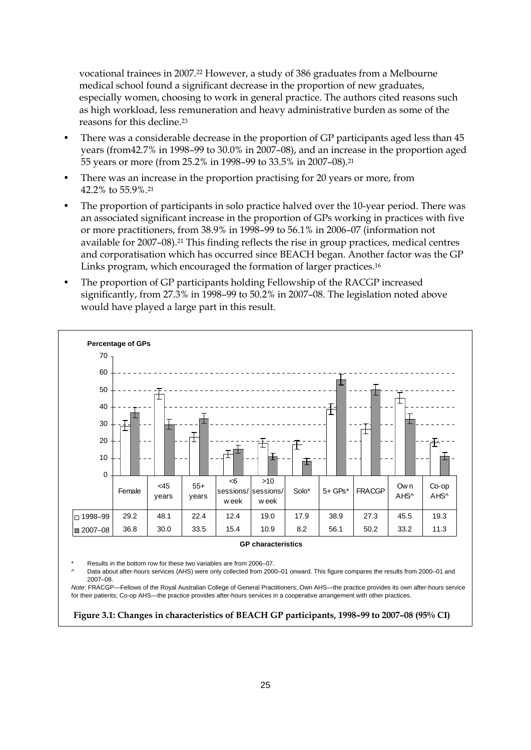vocational trainees in 2007.22 However, a study of 386 graduates from a Melbourne medical school found a significant decrease in the proportion of new graduates, especially women, choosing to work in general practice. The authors cited reasons such as high workload, less remuneration and heavy administrative burden as some of the reasons for this decline.23

- There was a considerable decrease in the proportion of GP participants aged less than 45 years (from42.7% in 1998–99 to 30.0% in 2007–08), and an increase in the proportion aged 55 years or more (from 25.2% in 1998–99 to 33.5% in 2007–08).21
- There was an increase in the proportion practising for 20 years or more, from 42.2% to 55.9%.21
- The proportion of participants in solo practice halved over the 10-year period. There was an associated significant increase in the proportion of GPs working in practices with five or more practitioners, from 38.9% in 1998–99 to 56.1% in 2006–07 (information not available for 2007–08).21 This finding reflects the rise in group practices, medical centres and corporatisation which has occurred since BEACH began. Another factor was the GP Links program, which encouraged the formation of larger practices.16
- The proportion of GP participants holding Fellowship of the RACGP increased significantly, from 27.3% in 1998–99 to 50.2% in 2007–08. The legislation noted above would have played a large part in this result.



#### **GP characteristics**

Results in the bottom row for these two variables are from 2006–07.

Data about after-hours services (AHS) were only collected from 2000–01 onward. This figure compares the results from 2000–01 and 2007–08.

*Note*: FRACGP—Fellows of the Royal Australian College of General Practitioners; Own AHS—the practice provides its own after-hours service for their patients; Co-op AHS—the practice provides after-hours services in a cooperative arrangement with other practices.

 **Figure 3.1: Changes in characteristics of BEACH GP participants, 1998–99 to 2007–08 (95% CI)**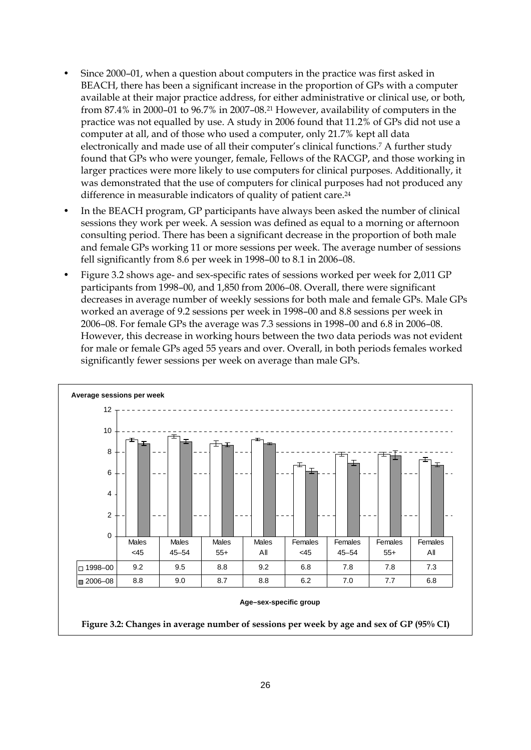- Since 2000–01, when a question about computers in the practice was first asked in BEACH, there has been a significant increase in the proportion of GPs with a computer available at their major practice address, for either administrative or clinical use, or both, from 87.4% in 2000–01 to 96.7% in 2007–08.21 However, availability of computers in the practice was not equalled by use. A study in 2006 found that 11.2% of GPs did not use a computer at all, and of those who used a computer, only 21.7% kept all data electronically and made use of all their computer's clinical functions.7 A further study found that GPs who were younger, female, Fellows of the RACGP, and those working in larger practices were more likely to use computers for clinical purposes. Additionally, it was demonstrated that the use of computers for clinical purposes had not produced any difference in measurable indicators of quality of patient care.24
- In the BEACH program, GP participants have always been asked the number of clinical sessions they work per week. A session was defined as equal to a morning or afternoon consulting period. There has been a significant decrease in the proportion of both male and female GPs working 11 or more sessions per week. The average number of sessions fell significantly from 8.6 per week in 1998–00 to 8.1 in 2006–08.
- Figure 3.2 shows age- and sex-specific rates of sessions worked per week for 2,011 GP participants from 1998–00, and 1,850 from 2006–08. Overall, there were significant decreases in average number of weekly sessions for both male and female GPs. Male GPs worked an average of 9.2 sessions per week in 1998–00 and 8.8 sessions per week in 2006–08. For female GPs the average was 7.3 sessions in 1998–00 and 6.8 in 2006–08. However, this decrease in working hours between the two data periods was not evident for male or female GPs aged 55 years and over. Overall, in both periods females worked significantly fewer sessions per week on average than male GPs.

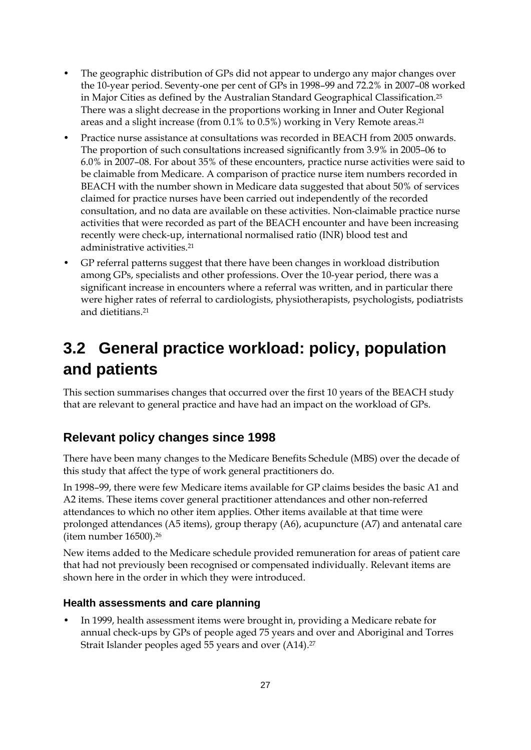- The geographic distribution of GPs did not appear to undergo any major changes over the 10-year period. Seventy-one per cent of GPs in 1998–99 and 72.2% in 2007–08 worked in Major Cities as defined by the Australian Standard Geographical Classification.25 There was a slight decrease in the proportions working in Inner and Outer Regional areas and a slight increase (from 0.1% to 0.5%) working in Very Remote areas.21
- Practice nurse assistance at consultations was recorded in BEACH from 2005 onwards. The proportion of such consultations increased significantly from 3.9% in 2005–06 to 6.0% in 2007–08. For about 35% of these encounters, practice nurse activities were said to be claimable from Medicare. A comparison of practice nurse item numbers recorded in BEACH with the number shown in Medicare data suggested that about 50% of services claimed for practice nurses have been carried out independently of the recorded consultation, and no data are available on these activities. Non-claimable practice nurse activities that were recorded as part of the BEACH encounter and have been increasing recently were check-up, international normalised ratio (INR) blood test and administrative activities.21
- GP referral patterns suggest that there have been changes in workload distribution among GPs, specialists and other professions. Over the 10-year period, there was a significant increase in encounters where a referral was written, and in particular there were higher rates of referral to cardiologists, physiotherapists, psychologists, podiatrists and dietitians.21

# **3.2 General practice workload: policy, population and patients**

This section summarises changes that occurred over the first 10 years of the BEACH study that are relevant to general practice and have had an impact on the workload of GPs.

### **Relevant policy changes since 1998**

There have been many changes to the Medicare Benefits Schedule (MBS) over the decade of this study that affect the type of work general practitioners do.

In 1998–99, there were few Medicare items available for GP claims besides the basic A1 and A2 items. These items cover general practitioner attendances and other non-referred attendances to which no other item applies. Other items available at that time were prolonged attendances (A5 items), group therapy (A6), acupuncture (A7) and antenatal care (item number 16500).26

New items added to the Medicare schedule provided remuneration for areas of patient care that had not previously been recognised or compensated individually. Relevant items are shown here in the order in which they were introduced.

#### **Health assessments and care planning**

• In 1999, health assessment items were brought in, providing a Medicare rebate for annual check-ups by GPs of people aged 75 years and over and Aboriginal and Torres Strait Islander peoples aged 55 years and over (A14).27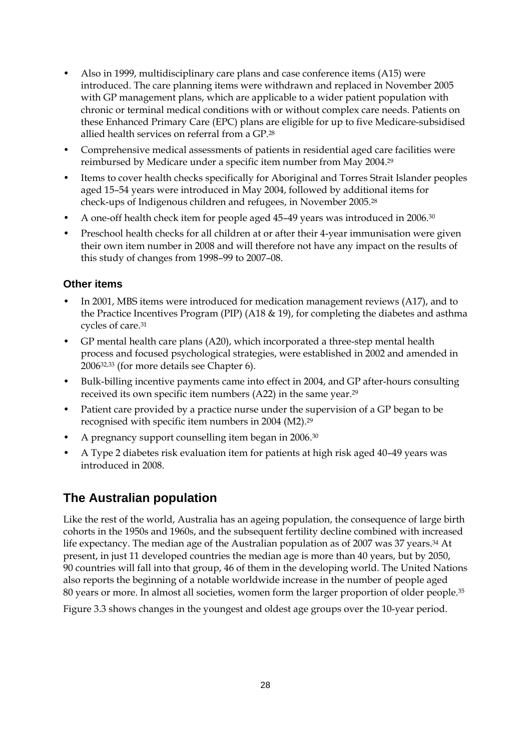- Also in 1999, multidisciplinary care plans and case conference items (A15) were introduced. The care planning items were withdrawn and replaced in November 2005 with GP management plans, which are applicable to a wider patient population with chronic or terminal medical conditions with or without complex care needs. Patients on these Enhanced Primary Care (EPC) plans are eligible for up to five Medicare-subsidised allied health services on referral from a GP.28
- Comprehensive medical assessments of patients in residential aged care facilities were reimbursed by Medicare under a specific item number from May 2004.29
- Items to cover health checks specifically for Aboriginal and Torres Strait Islander peoples aged 15–54 years were introduced in May 2004, followed by additional items for check-ups of Indigenous children and refugees, in November 2005.28
- A one-off health check item for people aged 45–49 years was introduced in 2006.30
- Preschool health checks for all children at or after their 4-year immunisation were given their own item number in 2008 and will therefore not have any impact on the results of this study of changes from 1998–99 to 2007–08.

#### **Other items**

- In 2001, MBS items were introduced for medication management reviews (A17), and to the Practice Incentives Program (PIP) (A18 & 19), for completing the diabetes and asthma cycles of care.31
- GP mental health care plans (A20), which incorporated a three-step mental health process and focused psychological strategies, were established in 2002 and amended in 200632,33 (for more details see Chapter 6).
- Bulk-billing incentive payments came into effect in 2004, and GP after-hours consulting received its own specific item numbers (A22) in the same year.29
- Patient care provided by a practice nurse under the supervision of a GP began to be recognised with specific item numbers in 2004 (M2).29
- A pregnancy support counselling item began in 2006.30
- A Type 2 diabetes risk evaluation item for patients at high risk aged 40–49 years was introduced in 2008.

### **The Australian population**

Like the rest of the world, Australia has an ageing population, the consequence of large birth cohorts in the 1950s and 1960s, and the subsequent fertility decline combined with increased life expectancy. The median age of the Australian population as of 2007 was 37 years.<sup>34</sup> At present, in just 11 developed countries the median age is more than 40 years, but by 2050, 90 countries will fall into that group, 46 of them in the developing world. The United Nations also reports the beginning of a notable worldwide increase in the number of people aged 80 years or more. In almost all societies, women form the larger proportion of older people.35

Figure 3.3 shows changes in the youngest and oldest age groups over the 10-year period.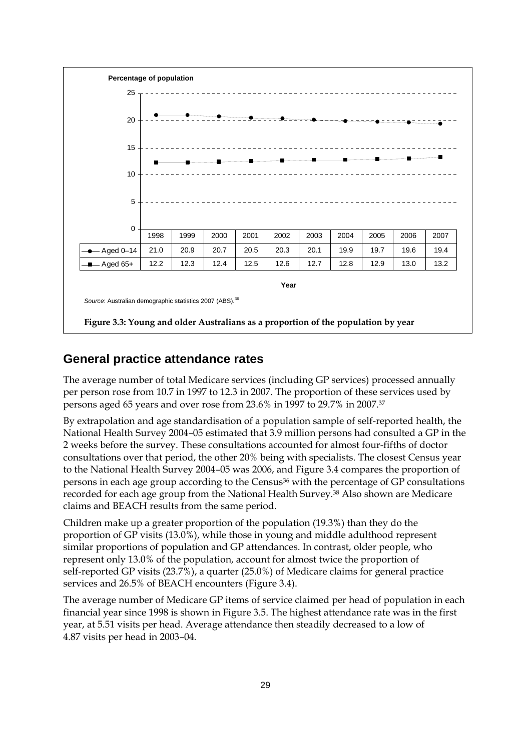

#### **General practice attendance rates**

The average number of total Medicare services (including GP services) processed annually per person rose from 10.7 in 1997 to 12.3 in 2007. The proportion of these services used by persons aged 65 years and over rose from 23.6% in 1997 to 29.7% in 2007.37

By extrapolation and age standardisation of a population sample of self-reported health, the National Health Survey 2004–05 estimated that 3.9 million persons had consulted a GP in the 2 weeks before the survey. These consultations accounted for almost four-fifths of doctor consultations over that period, the other 20% being with specialists. The closest Census year to the National Health Survey 2004–05 was 2006, and Figure 3.4 compares the proportion of persons in each age group according to the Census36 with the percentage of GP consultations recorded for each age group from the National Health Survey.38 Also shown are Medicare claims and BEACH results from the same period.

Children make up a greater proportion of the population (19.3%) than they do the proportion of GP visits (13.0%), while those in young and middle adulthood represent similar proportions of population and GP attendances. In contrast, older people, who represent only 13.0% of the population, account for almost twice the proportion of self-reported GP visits (23.7%), a quarter (25.0%) of Medicare claims for general practice services and 26.5% of BEACH encounters (Figure 3.4).

The average number of Medicare GP items of service claimed per head of population in each financial year since 1998 is shown in Figure 3.5. The highest attendance rate was in the first year, at 5.51 visits per head. Average attendance then steadily decreased to a low of 4.87 visits per head in 2003–04.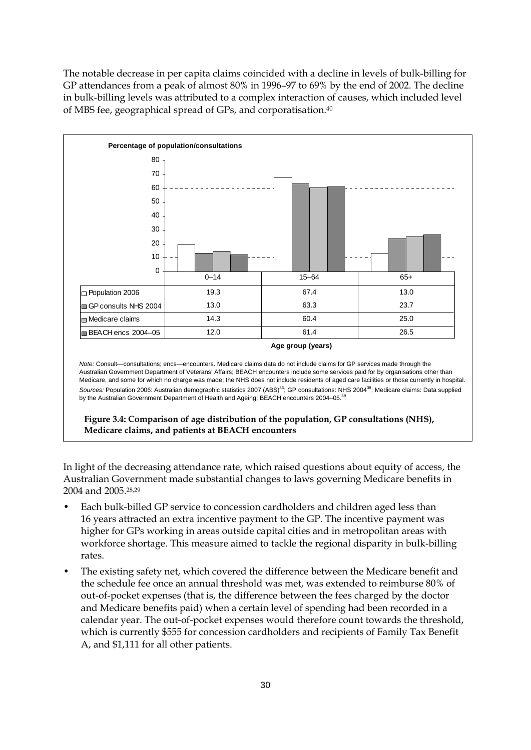The notable decrease in per capita claims coincided with a decline in levels of bulk-billing for GP attendances from a peak of almost 80% in 1996–97 to 69% by the end of 2002. The decline in bulk-billing levels was attributed to a complex interaction of causes, which included level of MBS fee, geographical spread of GPs, and corporatisation.40



In light of the decreasing attendance rate, which raised questions about equity of access, the Australian Government made substantial changes to laws governing Medicare benefits in 2004 and 2005.28,29

- Each bulk-billed GP service to concession cardholders and children aged less than 16 years attracted an extra incentive payment to the GP. The incentive payment was higher for GPs working in areas outside capital cities and in metropolitan areas with workforce shortage. This measure aimed to tackle the regional disparity in bulk-billing rates.
- The existing safety net, which covered the difference between the Medicare benefit and the schedule fee once an annual threshold was met, was extended to reimburse 80% of out-of-pocket expenses (that is, the difference between the fees charged by the doctor and Medicare benefits paid) when a certain level of spending had been recorded in a calendar year. The out-of-pocket expenses would therefore count towards the threshold, which is currently \$555 for concession cardholders and recipients of Family Tax Benefit A, and \$1,111 for all other patients.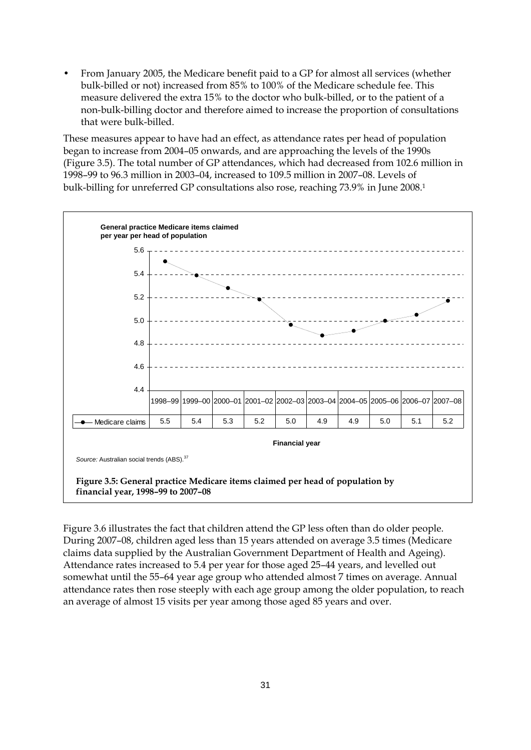• From January 2005, the Medicare benefit paid to a GP for almost all services (whether bulk-billed or not) increased from 85% to 100% of the Medicare schedule fee. This measure delivered the extra 15% to the doctor who bulk-billed, or to the patient of a non-bulk-billing doctor and therefore aimed to increase the proportion of consultations that were bulk-billed.

These measures appear to have had an effect, as attendance rates per head of population began to increase from 2004–05 onwards, and are approaching the levels of the 1990s (Figure 3.5). The total number of GP attendances, which had decreased from 102.6 million in 1998–99 to 96.3 million in 2003–04, increased to 109.5 million in 2007–08. Levels of bulk-billing for unreferred GP consultations also rose, reaching 73.9% in June 2008.1



Figure 3.6 illustrates the fact that children attend the GP less often than do older people. During 2007–08, children aged less than 15 years attended on average 3.5 times (Medicare claims data supplied by the Australian Government Department of Health and Ageing). Attendance rates increased to 5.4 per year for those aged 25–44 years, and levelled out somewhat until the 55–64 year age group who attended almost 7 times on average. Annual attendance rates then rose steeply with each age group among the older population, to reach an average of almost 15 visits per year among those aged 85 years and over.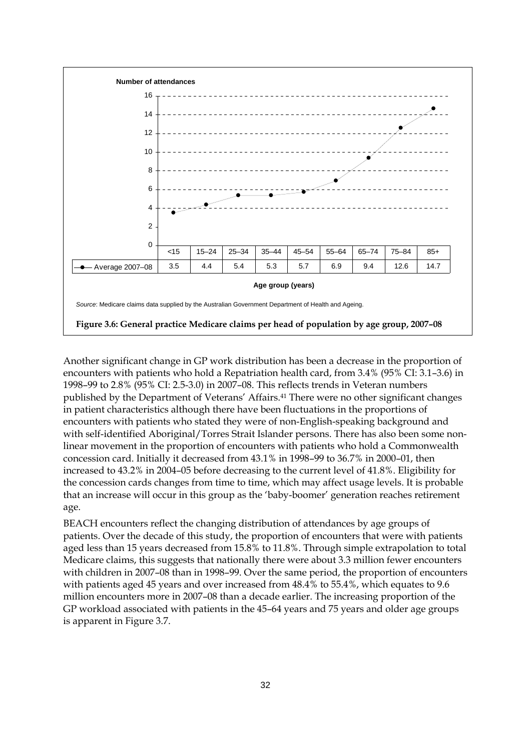

Another significant change in GP work distribution has been a decrease in the proportion of encounters with patients who hold a Repatriation health card, from 3.4% (95% CI: 3.1–3.6) in 1998–99 to 2.8% (95% CI: 2.5-3.0) in 2007–08. This reflects trends in Veteran numbers published by the Department of Veterans' Affairs.41 There were no other significant changes in patient characteristics although there have been fluctuations in the proportions of encounters with patients who stated they were of non-English-speaking background and with self-identified Aboriginal/Torres Strait Islander persons. There has also been some nonlinear movement in the proportion of encounters with patients who hold a Commonwealth concession card. Initially it decreased from 43.1% in 1998–99 to 36.7% in 2000–01, then increased to 43.2% in 2004–05 before decreasing to the current level of 41.8%. Eligibility for the concession cards changes from time to time, which may affect usage levels. It is probable that an increase will occur in this group as the 'baby-boomer' generation reaches retirement age.

BEACH encounters reflect the changing distribution of attendances by age groups of patients. Over the decade of this study, the proportion of encounters that were with patients aged less than 15 years decreased from 15.8% to 11.8%. Through simple extrapolation to total Medicare claims, this suggests that nationally there were about 3.3 million fewer encounters with children in 2007–08 than in 1998–99. Over the same period, the proportion of encounters with patients aged 45 years and over increased from 48.4% to 55.4%, which equates to 9.6 million encounters more in 2007–08 than a decade earlier. The increasing proportion of the GP workload associated with patients in the 45–64 years and 75 years and older age groups is apparent in Figure 3.7.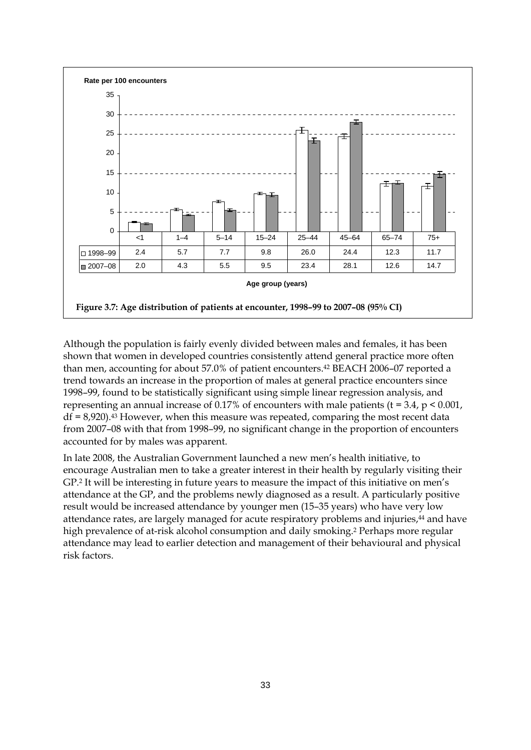

Although the population is fairly evenly divided between males and females, it has been shown that women in developed countries consistently attend general practice more often than men, accounting for about 57.0% of patient encounters.42 BEACH 2006–07 reported a trend towards an increase in the proportion of males at general practice encounters since 1998–99, found to be statistically significant using simple linear regression analysis, and representing an annual increase of 0.17% of encounters with male patients ( $t = 3.4$ ,  $p < 0.001$ ,  $df = 8,920$ ).<sup>43</sup> However, when this measure was repeated, comparing the most recent data from 2007–08 with that from 1998–99, no significant change in the proportion of encounters accounted for by males was apparent.

In late 2008, the Australian Government launched a new men's health initiative, to encourage Australian men to take a greater interest in their health by regularly visiting their GP.2 It will be interesting in future years to measure the impact of this initiative on men's attendance at the GP, and the problems newly diagnosed as a result. A particularly positive result would be increased attendance by younger men (15–35 years) who have very low attendance rates, are largely managed for acute respiratory problems and injuries,<sup>44</sup> and have high prevalence of at-risk alcohol consumption and daily smoking.2 Perhaps more regular attendance may lead to earlier detection and management of their behavioural and physical risk factors.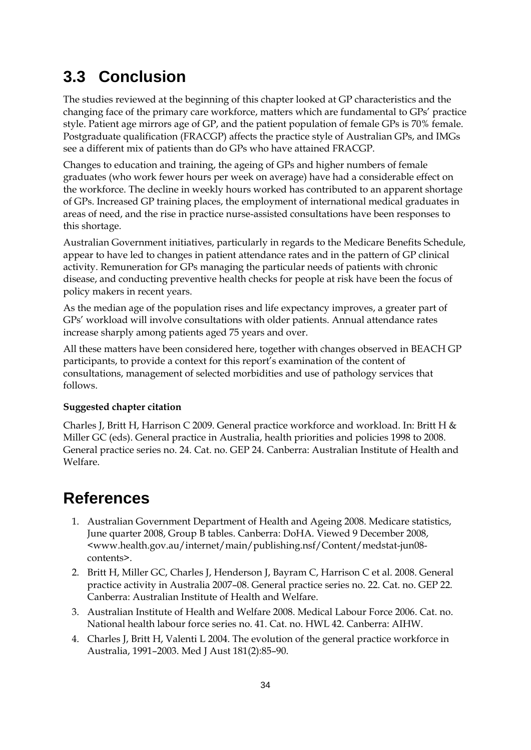# **3.3 Conclusion**

The studies reviewed at the beginning of this chapter looked at GP characteristics and the changing face of the primary care workforce, matters which are fundamental to GPs' practice style. Patient age mirrors age of GP, and the patient population of female GPs is 70% female. Postgraduate qualification (FRACGP) affects the practice style of Australian GPs, and IMGs see a different mix of patients than do GPs who have attained FRACGP.

Changes to education and training, the ageing of GPs and higher numbers of female graduates (who work fewer hours per week on average) have had a considerable effect on the workforce. The decline in weekly hours worked has contributed to an apparent shortage of GPs. Increased GP training places, the employment of international medical graduates in areas of need, and the rise in practice nurse-assisted consultations have been responses to this shortage.

Australian Government initiatives, particularly in regards to the Medicare Benefits Schedule, appear to have led to changes in patient attendance rates and in the pattern of GP clinical activity. Remuneration for GPs managing the particular needs of patients with chronic disease, and conducting preventive health checks for people at risk have been the focus of policy makers in recent years.

As the median age of the population rises and life expectancy improves, a greater part of GPs' workload will involve consultations with older patients. Annual attendance rates increase sharply among patients aged 75 years and over.

All these matters have been considered here, together with changes observed in BEACH GP participants, to provide a context for this report's examination of the content of consultations, management of selected morbidities and use of pathology services that follows.

#### **Suggested chapter citation**

Charles J, Britt H, Harrison C 2009. General practice workforce and workload. In: Britt H & Miller GC (eds). General practice in Australia, health priorities and policies 1998 to 2008. General practice series no. 24. Cat. no. GEP 24. Canberra: Australian Institute of Health and Welfare.

# **References**

- 1. Australian Government Department of Health and Ageing 2008. Medicare statistics, June quarter 2008, Group B tables. Canberra: DoHA. Viewed 9 December 2008, <www.health.gov.au/internet/main/publishing.nsf/Content/medstat-jun08 contents>.
- 2. Britt H, Miller GC, Charles J, Henderson J, Bayram C, Harrison C et al. 2008. General practice activity in Australia 2007–08. General practice series no. 22. Cat. no. GEP 22. Canberra: Australian Institute of Health and Welfare.
- 3. Australian Institute of Health and Welfare 2008. Medical Labour Force 2006. Cat. no. National health labour force series no. 41. Cat. no. HWL 42. Canberra: AIHW.
- 4. Charles J, Britt H, Valenti L 2004. The evolution of the general practice workforce in Australia, 1991–2003. Med J Aust 181(2):85–90.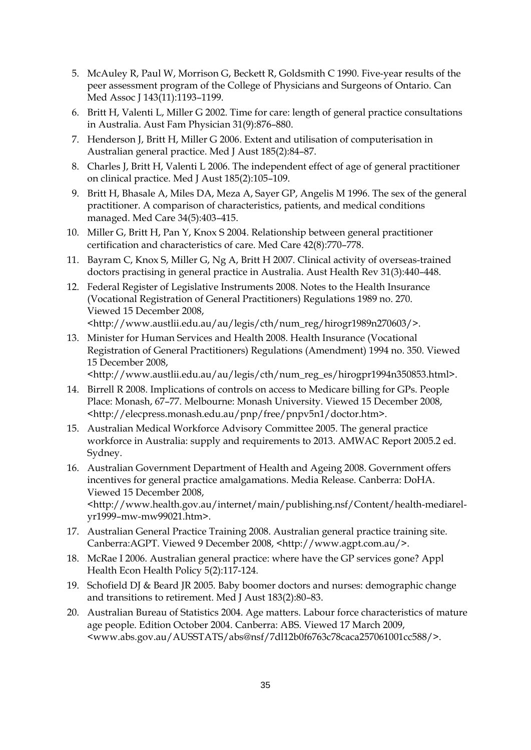- 5. McAuley R, Paul W, Morrison G, Beckett R, Goldsmith C 1990. Five-year results of the peer assessment program of the College of Physicians and Surgeons of Ontario. Can Med Assoc J 143(11):1193-1199.
- 6. Britt H, Valenti L, Miller G 2002. Time for care: length of general practice consultations in Australia. Aust Fam Physician 31(9):876–880.
- 7. Henderson J, Britt H, Miller G 2006. Extent and utilisation of computerisation in Australian general practice. Med J Aust 185(2):84–87.
- 8. Charles J, Britt H, Valenti L 2006. The independent effect of age of general practitioner on clinical practice. Med J Aust 185(2):105–109.
- 9. Britt H, Bhasale A, Miles DA, Meza A, Sayer GP, Angelis M 1996. The sex of the general practitioner. A comparison of characteristics, patients, and medical conditions managed. Med Care 34(5):403–415.
- 10. Miller G, Britt H, Pan Y, Knox S 2004. Relationship between general practitioner certification and characteristics of care. Med Care 42(8):770–778.
- 11. Bayram C, Knox S, Miller G, Ng A, Britt H 2007. Clinical activity of overseas-trained doctors practising in general practice in Australia. Aust Health Rev 31(3):440–448.
- 12. Federal Register of Legislative Instruments 2008. Notes to the Health Insurance (Vocational Registration of General Practitioners) Regulations 1989 no. 270. Viewed 15 December 2008, <http://www.austlii.edu.au/au/legis/cth/num\_reg/hirogr1989n270603/>.
- 13. Minister for Human Services and Health 2008. Health Insurance (Vocational Registration of General Practitioners) Regulations (Amendment) 1994 no. 350. Viewed 15 December 2008,

<http://www.austlii.edu.au/au/legis/cth/num\_reg\_es/hirogpr1994n350853.html>.

- 14. Birrell R 2008. Implications of controls on access to Medicare billing for GPs. People Place: Monash, 67–77. Melbourne: Monash University. Viewed 15 December 2008, <http://elecpress.monash.edu.au/pnp/free/pnpv5n1/doctor.htm>.
- 15. Australian Medical Workforce Advisory Committee 2005. The general practice workforce in Australia: supply and requirements to 2013. AMWAC Report 2005.2 ed. Sydney.
- 16. Australian Government Department of Health and Ageing 2008. Government offers incentives for general practice amalgamations. Media Release. Canberra: DoHA. Viewed 15 December 2008, <http://www.health.gov.au/internet/main/publishing.nsf/Content/health-mediarelyr1999–mw-mw99021.htm>.
- 17. Australian General Practice Training 2008. Australian general practice training site. Canberra:AGPT. Viewed 9 December 2008, <http://www.agpt.com.au/>.
- 18. McRae I 2006. Australian general practice: where have the GP services gone? Appl Health Econ Health Policy 5(2):117-124.
- 19. Schofield DJ & Beard JR 2005. Baby boomer doctors and nurses: demographic change and transitions to retirement. Med J Aust 183(2):80–83.
- 20. Australian Bureau of Statistics 2004. Age matters. Labour force characteristics of mature age people. Edition October 2004. Canberra: ABS. Viewed 17 March 2009, <www.abs.gov.au/AUSSTATS/abs@nsf/7dl12b0f6763c78caca257061001cc588/>.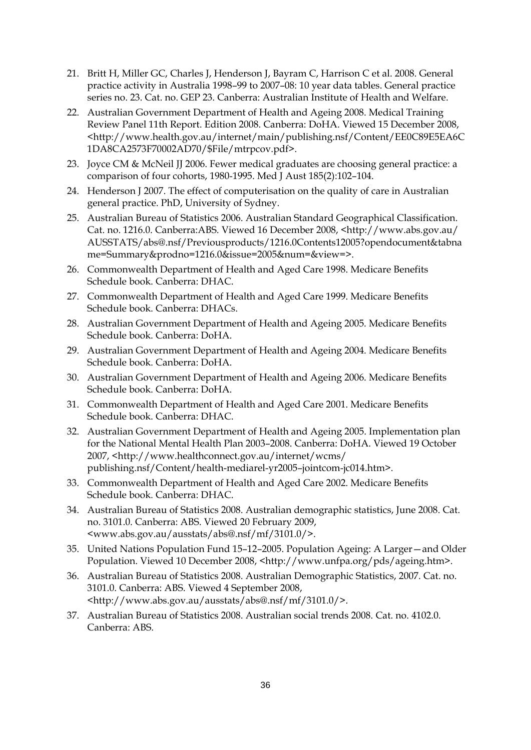- 21. Britt H, Miller GC, Charles J, Henderson J, Bayram C, Harrison C et al. 2008. General practice activity in Australia 1998–99 to 2007–08: 10 year data tables. General practice series no. 23. Cat. no. GEP 23. Canberra: Australian Institute of Health and Welfare.
- 22. Australian Government Department of Health and Ageing 2008. Medical Training Review Panel 11th Report. Edition 2008. Canberra: DoHA. Viewed 15 December 2008, <http://www.health.gov.au/internet/main/publishing.nsf/Content/EE0C89E5EA6C 1DA8CA2573F70002AD70/\$File/mtrpcov.pdf>.
- 23. Joyce CM & McNeil JJ 2006. Fewer medical graduates are choosing general practice: a comparison of four cohorts, 1980-1995. Med J Aust 185(2):102–104.
- 24. Henderson J 2007. The effect of computerisation on the quality of care in Australian general practice. PhD, University of Sydney.
- 25. Australian Bureau of Statistics 2006. Australian Standard Geographical Classification. Cat. no. 1216.0. Canberra:ABS. Viewed 16 December 2008, <http://www.abs.gov.au/ AUSSTATS/abs@.nsf/Previousproducts/1216.0Contents12005?opendocument&tabna me=Summary&prodno=1216.0&issue=2005&num=&view=>.
- 26. Commonwealth Department of Health and Aged Care 1998. Medicare Benefits Schedule book. Canberra: DHAC.
- 27. Commonwealth Department of Health and Aged Care 1999. Medicare Benefits Schedule book. Canberra: DHACs.
- 28. Australian Government Department of Health and Ageing 2005. Medicare Benefits Schedule book. Canberra: DoHA.
- 29. Australian Government Department of Health and Ageing 2004. Medicare Benefits Schedule book. Canberra: DoHA.
- 30. Australian Government Department of Health and Ageing 2006. Medicare Benefits Schedule book. Canberra: DoHA.
- 31. Commonwealth Department of Health and Aged Care 2001. Medicare Benefits Schedule book. Canberra: DHAC.
- 32. Australian Government Department of Health and Ageing 2005. Implementation plan for the National Mental Health Plan 2003–2008. Canberra: DoHA. Viewed 19 October 2007, <http://www.healthconnect.gov.au/internet/wcms/ publishing.nsf/Content/health-mediarel-yr2005–jointcom-jc014.htm>.
- 33. Commonwealth Department of Health and Aged Care 2002. Medicare Benefits Schedule book. Canberra: DHAC.
- 34. Australian Bureau of Statistics 2008. Australian demographic statistics, June 2008. Cat. no. 3101.0. Canberra: ABS. Viewed 20 February 2009, <www.abs.gov.au/ausstats/abs@.nsf/mf/3101.0/>.
- 35. United Nations Population Fund 15–12–2005. Population Ageing: A Larger—and Older Population. Viewed 10 December 2008, <http://www.unfpa.org/pds/ageing.htm>.
- 36. Australian Bureau of Statistics 2008. Australian Demographic Statistics, 2007. Cat. no. 3101.0. Canberra: ABS. Viewed 4 September 2008, <http://www.abs.gov.au/ausstats/abs@.nsf/mf/3101.0/>.
- 37. Australian Bureau of Statistics 2008. Australian social trends 2008. Cat. no. 4102.0. Canberra: ABS.